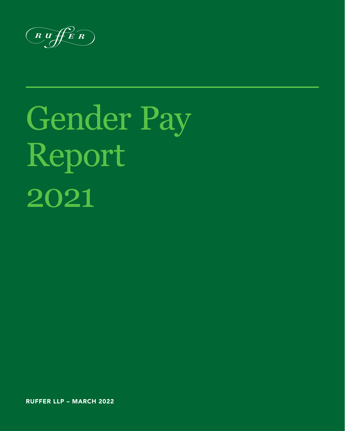$\begin{array}{c}\n\textcircled{R} \textcircled{H}\textcircled{F}\textcircled{R}\n\end{array}$ 

# Gender Pay Report 2021

RUFFER LLP – MARCH 2022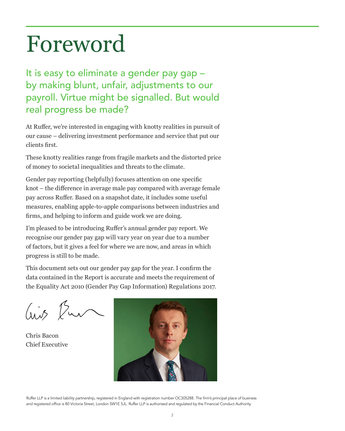### Foreword

It is easy to eliminate a gender pay gap – by making blunt, unfair, adjustments to our payroll. Virtue might be signalled. But would real progress be made?

At Ruffer, we're interested in engaging with knotty realities in pursuit of our cause – delivering investment performance and service that put our clients first.

These knotty realities range from fragile markets and the distorted price of money to societal inequalities and threats to the climate.

Gender pay reporting (helpfully) focuses attention on one specific knot – the difference in average male pay compared with average female pay across Ruffer. Based on a snapshot date, it includes some useful measures, enabling apple-to-apple comparisons between industries and firms, and helping to inform and guide work we are doing.

I'm pleased to be introducing Ruffer's annual gender pay report. We recognise our gender pay gap will vary year on year due to a number of factors, but it gives a feel for where we are now, and areas in which progress is still to be made.

This document sets out our gender pay gap for the year. I confirm the data contained in the Report is accurate and meets the requirement of the Equality Act 2010 (Gender Pay Gap Information) Regulations 2017.

 $\int \sqrt{1+\sqrt{2}}$ 

Chris Bacon Chief Executive



Ruffer LLP is a limited liability partnership, registered in England with registration number OC305288. The firm's principal place of business and registered office is 80 Victoria Street, London SW1E 5JL. Ruffer LLP is authorised and regulated by the Financial Conduct Authority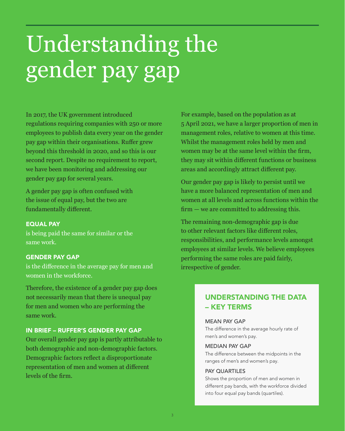## Understanding the gender pay gap

In 2017, the UK government introduced regulations requiring companies with 250 or more employees to publish data every year on the gender pay gap within their organisations. Ruffer grew beyond this threshold in 2020, and so this is our second report. Despite no requirement to report, we have been monitoring and addressing our gender pay gap for several years.

A gender pay gap is often confused with the issue of equal pay, but the two are fundamentally different.

#### EQUAL PAY

is being paid the same for similar or the same work.

#### GENDER PAY GAP

is the difference in the average pay for men and women in the workforce.

Therefore, the existence of a gender pay gap does not necessarily mean that there is unequal pay for men and women who are performing the same work.

#### IN BRIEF – RUFFER'S GENDER PAY GAP

Our overall gender pay gap is partly attributable to both demographic and non-demographic factors. Demographic factors reflect a disproportionate representation of men and women at different levels of the firm.

For example, based on the population as at 5 April 2021, we have a larger proportion of men in management roles, relative to women at this time. Whilst the management roles held by men and women may be at the same level within the firm, they may sit within different functions or business areas and accordingly attract different pay.

Our gender pay gap is likely to persist until we have a more balanced representation of men and women at all levels and across functions within the firm — we are committed to addressing this.

The remaining non-demographic gap is due to other relevant factors like different roles, responsibilities, and performance levels amongst employees at similar levels. We believe employees performing the same roles are paid fairly, irrespective of gender.

#### UNDERSTANDING THE DATA – KEY TERMS

#### MEAN PAY GAP

The difference in the average hourly rate of men's and women's pay.

#### MEDIAN PAY GAP

The difference between the midpoints in the ranges of men's and women's pay.

#### PAY QUARTILES

Shows the proportion of men and women in different pay bands, with the workforce divided into four equal pay bands (quartiles).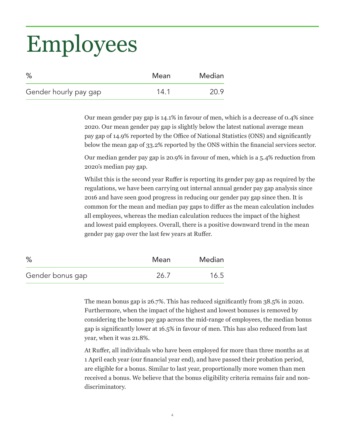## Employees

| %                     | Mean | Median |
|-----------------------|------|--------|
| Gender hourly pay gap | 14.1 | 20.9   |

Our mean gender pay gap is 14.1% in favour of men, which is a decrease of 0.4% since 2020. Our mean gender pay gap is slightly below the latest national average mean pay gap of 14.9% reported by the Office of National Statistics (ONS) and significantly below the mean gap of 33.2% reported by the ONS within the financial services sector.

Our median gender pay gap is 20.9% in favour of men, which is a 5.4% reduction from 2020's median pay gap.

Whilst this is the second year Ruffer is reporting its gender pay gap as required by the regulations, we have been carrying out internal annual gender pay gap analysis since 2016 and have seen good progress in reducing our gender pay gap since then. It is common for the mean and median pay gaps to differ as the mean calculation includes all employees, whereas the median calculation reduces the impact of the highest and lowest paid employees. Overall, there is a positive downward trend in the mean gender pay gap over the last few years at Ruffer.

| %                | Mean | Median |
|------------------|------|--------|
| Gender bonus gap | 26.7 | 16.5   |

The mean bonus gap is 26.7%. This has reduced significantly from 38.5% in 2020. Furthermore, when the impact of the highest and lowest bonuses is removed by considering the bonus pay gap across the mid-range of employees, the median bonus gap is significantly lower at 16.5% in favour of men. This has also reduced from last year, when it was 21.8%.

At Ruffer, all individuals who have been employed for more than three months as at 1 April each year (our financial year end), and have passed their probation period, are eligible for a bonus. Similar to last year, proportionally more women than men received a bonus. We believe that the bonus eligibility criteria remains fair and nondiscriminatory.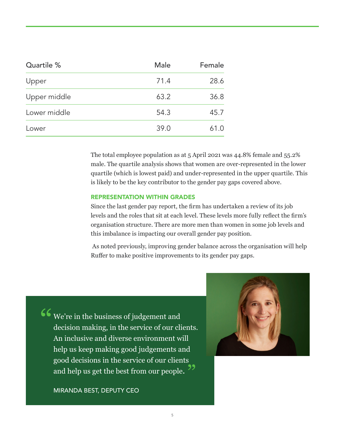| Quartile %   | Male | Female |
|--------------|------|--------|
| Upper        | 71.4 | 28.6   |
| Upper middle | 63.2 | 36.8   |
| Lower middle | 54.3 | 45.7   |
| Lower        | 39.0 | 61.0   |
|              |      |        |

The total employee population as at 5 April 2021 was 44.8% female and 55.2% male. The quartile analysis shows that women are over-represented in the lower quartile (which is lowest paid) and under-represented in the upper quartile. This is likely to be the key contributor to the gender pay gaps covered above.

#### REPRESENTATION WITHIN GRADES

Since the last gender pay report, the firm has undertaken a review of its job levels and the roles that sit at each level. These levels more fully reflect the firm's organisation structure. There are more men than women in some job levels and this imbalance is impacting our overall gender pay position.

 As noted previously, improving gender balance across the organisation will help Ruffer to make positive improvements to its gender pay gaps.

 $\mathcal{C}$  We're in the business of judgement and decision making, in the service of our clients. An inclusive and diverse environment will help us keep making good judgements and good decisions in the service of our clients and help us get the best from our people. ,<br>,<br>,

MIRANDA BEST, DEPUTY CEO

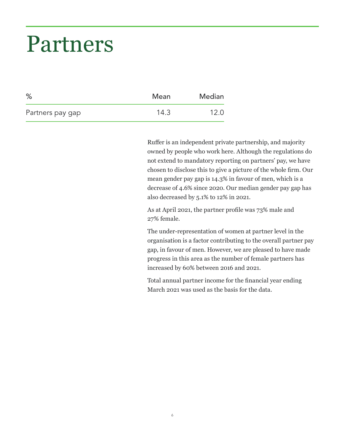### Partners

| $\%$             | Mean | Median |
|------------------|------|--------|
| Partners pay gap | 14.3 | 12.0   |

Ruffer is an independent private partnership, and majority owned by people who work here. Although the regulations do not extend to mandatory reporting on partners' pay, we have chosen to disclose this to give a picture of the whole firm. Our mean gender pay gap is 14.3% in favour of men, which is a decrease of 4.6% since 2020. Our median gender pay gap has also decreased by 5.1% to 12% in 2021.

As at April 2021, the partner profile was 73% male and 27% female.

The under-representation of women at partner level in the organisation is a factor contributing to the overall partner pay gap, in favour of men. However, we are pleased to have made progress in this area as the number of female partners has increased by 60% between 2016 and 2021.

Total annual partner income for the financial year ending March 2021 was used as the basis for the data.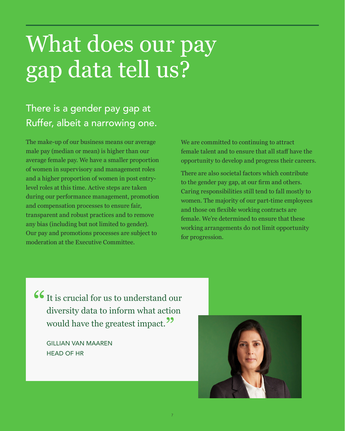### What does our pay gap data tell us?

### There is a gender pay gap at Ruffer, albeit a narrowing one.

The make-up of our business means our average male pay (median or mean) is higher than our average female pay. We have a smaller proportion of women in supervisory and management roles and a higher proportion of women in post entrylevel roles at this time. Active steps are taken during our performance management, promotion and compensation processes to ensure fair, transparent and robust practices and to remove any bias (including but not limited to gender). Our pay and promotions processes are subject to moderation at the Executive Committee.

We are committed to continuing to attract female talent and to ensure that all staff have the opportunity to develop and progress their careers.

There are also societal factors which contribute to the gender pay gap, at our firm and others. Caring responsibilities still tend to fall mostly to women. The majority of our part-time employees and those on flexible working contracts are female. We're determined to ensure that these working arrangements do not limit opportunity for progression.

**66** It is crucial for us to understand our diversity data to inform what action would have the greatest impact.<sup>77</sup>

GILLIAN VAN MAAREN HEAD OF HR

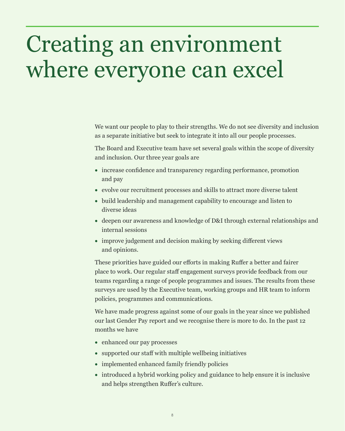### Creating an environment where everyone can excel

We want our people to play to their strengths. We do not see diversity and inclusion as a separate initiative but seek to integrate it into all our people processes.

The Board and Executive team have set several goals within the scope of diversity and inclusion. Our three year goals are

- increase confidence and transparency regarding performance, promotion and pay
- evolve our recruitment processes and skills to attract more diverse talent
- build leadership and management capability to encourage and listen to diverse ideas
- deepen our awareness and knowledge of D&I through external relationships and internal sessions
- improve judgement and decision making by seeking different views and opinions.

These priorities have guided our efforts in making Ruffer a better and fairer place to work. Our regular staff engagement surveys provide feedback from our teams regarding a range of people programmes and issues. The results from these surveys are used by the Executive team, working groups and HR team to inform policies, programmes and communications.

We have made progress against some of our goals in the year since we published our last Gender Pay report and we recognise there is more to do. In the past 12 months we have

- enhanced our pay processes
- supported our staff with multiple wellbeing initiatives
- implemented enhanced family friendly policies
- introduced a hybrid working policy and guidance to help ensure it is inclusive and helps strengthen Ruffer's culture.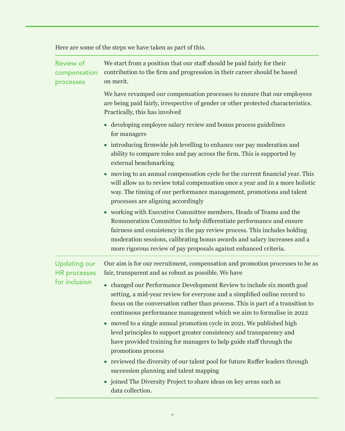Here are some of the steps we have taken as part of this.

| <b>Review of</b><br>compensation<br>processes               | We start from a position that our staff should be paid fairly for their<br>contribution to the firm and progression in their career should be based<br>on merit.                                                                                                                                                                                                                                                                                                                                                                                                                                                                                                                                                                                                       |
|-------------------------------------------------------------|------------------------------------------------------------------------------------------------------------------------------------------------------------------------------------------------------------------------------------------------------------------------------------------------------------------------------------------------------------------------------------------------------------------------------------------------------------------------------------------------------------------------------------------------------------------------------------------------------------------------------------------------------------------------------------------------------------------------------------------------------------------------|
|                                                             | We have revamped our compensation processes to ensure that our employees<br>are being paid fairly, irrespective of gender or other protected characteristics.<br>Practically, this has involved                                                                                                                                                                                                                                                                                                                                                                                                                                                                                                                                                                        |
|                                                             | • developing employee salary review and bonus process guidelines<br>for managers                                                                                                                                                                                                                                                                                                                                                                                                                                                                                                                                                                                                                                                                                       |
|                                                             | • introducing firmwide job levelling to enhance our pay moderation and<br>ability to compare roles and pay across the firm. This is supported by<br>external benchmarking                                                                                                                                                                                                                                                                                                                                                                                                                                                                                                                                                                                              |
|                                                             | • moving to an annual compensation cycle for the current financial year. This<br>will allow us to review total compensation once a year and in a more holistic<br>way. The timing of our performance management, promotions and talent<br>processes are aligning accordingly                                                                                                                                                                                                                                                                                                                                                                                                                                                                                           |
|                                                             | • working with Executive Committee members, Heads of Teams and the<br>Remuneration Committee to help differentiate performance and ensure<br>fairness and consistency in the pay review process. This includes holding<br>moderation sessions, calibrating bonus awards and salary increases and a<br>more rigorous review of pay proposals against enhanced criteria.                                                                                                                                                                                                                                                                                                                                                                                                 |
| <b>Updating our</b><br><b>HR</b> processes<br>for inclusion | Our aim is for our recruitment, compensation and promotion processes to be as<br>fair, transparent and as robust as possible. We have                                                                                                                                                                                                                                                                                                                                                                                                                                                                                                                                                                                                                                  |
|                                                             | • changed our Performance Development Review to include six month goal<br>setting, a mid-year review for everyone and a simplified online record to<br>focus on the conversation rather than process. This is part of a transition to<br>continuous performance management which we aim to formalise in 2022<br>• moved to a single annual promotion cycle in 2021. We published high<br>level principles to support greater consistency and transparency and<br>have provided training for managers to help guide staff through the<br>promotions process<br>• reviewed the diversity of our talent pool for future Ruffer leaders through<br>succession planning and talent mapping<br>joined The Diversity Project to share ideas on key areas such as<br>$\bullet$ |
|                                                             | data collection.                                                                                                                                                                                                                                                                                                                                                                                                                                                                                                                                                                                                                                                                                                                                                       |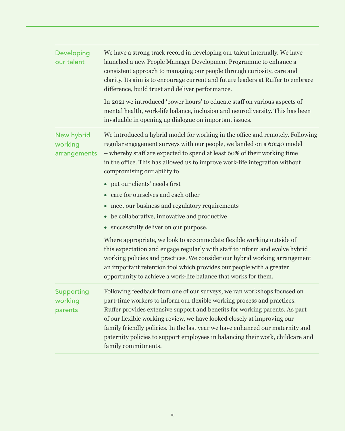| Developing<br>our talent              | We have a strong track record in developing our talent internally. We have<br>launched a new People Manager Development Programme to enhance a<br>consistent approach to managing our people through curiosity, care and<br>clarity. Its aim is to encourage current and future leaders at Ruffer to embrace<br>difference, build trust and deliver performance.                                                                                                                                       |
|---------------------------------------|--------------------------------------------------------------------------------------------------------------------------------------------------------------------------------------------------------------------------------------------------------------------------------------------------------------------------------------------------------------------------------------------------------------------------------------------------------------------------------------------------------|
|                                       | In 2021 we introduced 'power hours' to educate staff on various aspects of<br>mental health, work-life balance, inclusion and neurodiversity. This has been<br>invaluable in opening up dialogue on important issues.                                                                                                                                                                                                                                                                                  |
| New hybrid<br>working<br>arrangements | We introduced a hybrid model for working in the office and remotely. Following<br>regular engagement surveys with our people, we landed on a 60:40 model<br>- whereby staff are expected to spend at least 60% of their working time<br>in the office. This has allowed us to improve work-life integration without<br>compromising our ability to                                                                                                                                                     |
|                                       | • put our clients' needs first                                                                                                                                                                                                                                                                                                                                                                                                                                                                         |
|                                       | care for ourselves and each other                                                                                                                                                                                                                                                                                                                                                                                                                                                                      |
|                                       | meet our business and regulatory requirements<br>$\bullet$                                                                                                                                                                                                                                                                                                                                                                                                                                             |
|                                       | be collaborative, innovative and productive<br>$\bullet$                                                                                                                                                                                                                                                                                                                                                                                                                                               |
|                                       | • successfully deliver on our purpose.                                                                                                                                                                                                                                                                                                                                                                                                                                                                 |
|                                       | Where appropriate, we look to accommodate flexible working outside of<br>this expectation and engage regularly with staff to inform and evolve hybrid<br>working policies and practices. We consider our hybrid working arrangement<br>an important retention tool which provides our people with a greater<br>opportunity to achieve a work-life balance that works for them.                                                                                                                         |
| Supporting<br>working<br>parents      | Following feedback from one of our surveys, we ran workshops focused on<br>part-time workers to inform our flexible working process and practices.<br>Ruffer provides extensive support and benefits for working parents. As part<br>of our flexible working review, we have looked closely at improving our<br>family friendly policies. In the last year we have enhanced our maternity and<br>paternity policies to support employees in balancing their work, childcare and<br>family commitments. |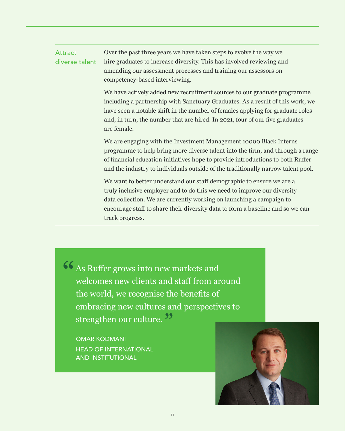#### **Attract** diverse talent

Over the past three years we have taken steps to evolve the way we hire graduates to increase diversity. This has involved reviewing and amending our assessment processes and training our assessors on competency-based interviewing.

We have actively added new recruitment sources to our graduate programme including a partnership with Sanctuary Graduates. As a result of this work, we have seen a notable shift in the number of females applying for graduate roles and, in turn, the number that are hired. In 2021, four of our five graduates are female.

We are engaging with the Investment Management 10000 Black Interns programme to help bring more diverse talent into the firm, and through a range of financial education initiatives hope to provide introductions to both Ruffer and the industry to individuals outside of the traditionally narrow talent pool.

We want to better understand our staff demographic to ensure we are a truly inclusive employer and to do this we need to improve our diversity data collection. We are currently working on launching a campaign to encourage staff to share their diversity data to form a baseline and so we can track progress.

66 As Ruffer grows into new markets and welcomes new clients and staff from around the world, we recognise the benefits of embracing new cultures and perspectives to strengthen our culture.<sup>22</sup>

OMAR KODMANI HEAD OF INTERNATIONAL AND INSTITUTIONAL